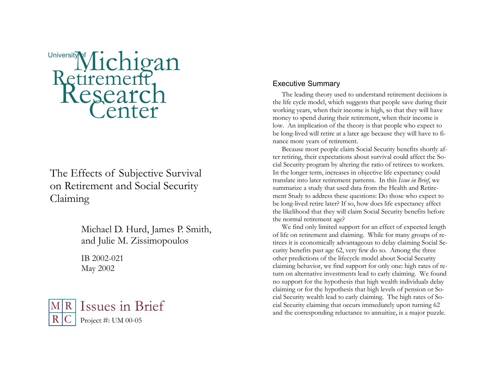

# The Effects of Subjective Survival on Retirement and Social Security Claiming

Michael D. Hurd, James P. Smith, and Julie M. Zissimopoulos

IB 2002-021 May 2002



## Executive Summary

 The leading theory used to understand retirement decisions is the life cycle model, which suggests that people save during their working years, when their income is high, so that they will have money to spend during their retirement, when their income is low. An implication of the theory is that people who expect to be long-lived will retire at a later age because they will have to finance more years of retirement.

 Because most people claim Social Security benefits shortly after retiring, their expectations about survival could affect the Social Security program by altering the ratio of retirees to workers. In the longer term, increases in objective life expectancy could translate into later retirement patterns. In this *Issue in Brief*, we summarize a study that used data from the Health and Retirement Study to address these questions: Do those who expect to be long-lived retire later? If so, how does life expectancy affect the likelihood that they will claim Social Security benefits before the normal retirement age?

 We find only limited support for an effect of expected length of life on retirement and claiming. While for many groups of retirees it is economically advantageous to delay claiming Social Security benefits past age 62, very few do so. Among the three other predictions of the lifecycle model about Social Security claiming behavior, we find support for only one: high rates of return on alternative investments lead to early claiming. We found no support for the hypothesis that high wealth individuals delay claiming or for the hypothesis that high levels of pension or Social Security wealth lead to early claiming. The high rates of Social Security claiming that occurs immediately upon turning 62 and the corresponding reluctance to annuitize, is a major puzzle.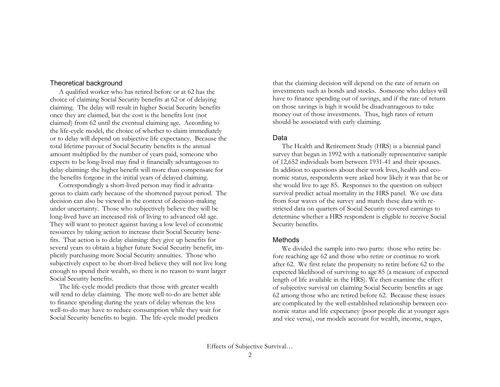#### Theoretical background

 A qualified worker who has retired before or at 62 has the choice of claiming Social Security benefits at 62 or of delaying claiming. The delay will result in higher Social Security benefits once they are claimed, but the cost is the benefits lost (not claimed) from 62 until the eventual claiming age. According to the life-cycle model, the choice of whether to claim immediately or to delay will depend on subjective life expectancy. Because the total lifetime payout of Social Security benefits is the annual amount multiplied by the number of years paid, someone who expects to be long-lived may find it financially advantageous to delay claiming: the higher benefit will more than compensate for the benefits forgone in the initial years of delayed claiming.

 Correspondingly a short-lived person may find it advantageous to claim early because of the shortened payout period. The decision can also be viewed in the context of decision-making under uncertainty. Those who subjectively believe they will be long-lived have an increased risk of living to advanced old age. They will want to protect against having a low level of economic resources by taking action to increase their Social Security benefits. That action is to delay claiming: they give up benefits for several years to obtain a higher future Social Security benefit, implicitly purchasing more Social Security annuities. Those who subjectively expect to be short-lived believe they will not live long enough to spend their wealth, so there is no reason to want larger Social Security benefits.

 The life-cycle model predicts that those with greater wealth will tend to delay claiming. The more well-to-do are better able to finance spending during the years of delay whereas the less well-to-do may have to reduce consumption while they wait for Social Security benefits to begin. The life-cycle model predicts

that the claiming decision will depend on the rate of return on investments such as bonds and stocks. Someone who delays will have to finance spending out of savings, and if the rate of return on those savings is high it would be disadvantageous to take money out of those investments. Thus, high rates of return should be associated with early claiming.

#### Data

 The Health and Retirement Study (HRS) is a biennial panel survey that began in 1992 with a nationally representative sample of 12,652 individuals born between 1931-41 and their spouses. In addition to questions about their work lives, health and economic status, respondents were asked how likely it was that he or she would live to age 85. Responses to the question on subject survival predict actual mortality in the HRS panel. We use data from four waves of the survey and match these data with restricted data on quarters of Social Security covered earnings to determine whether a HRS respondent is eligible to receive Social Security benefits.

### Methods

 We divided the sample into two parts: those who retire before reaching age 62 and those who retire or continue to work after 62. We first relate the propensity to retire before 62 to the expected likelihood of surviving to age 85 (a measure of expected length of life available in the HRS). We then examine the effect of subjective survival on claiming Social Security benefits at age 62 among those who are retired before 62. Because these issues are complicated by the well-established relationship between economic status and life expectancy (poor people die at younger ages and vice versa), our models account for wealth, income, wages,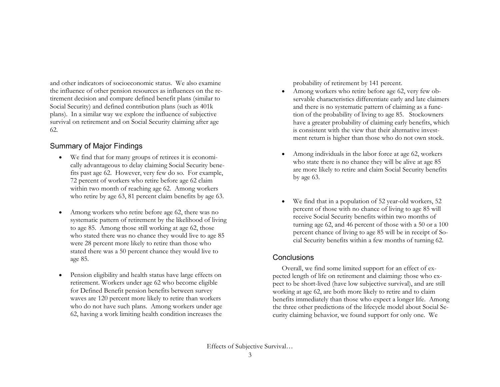and other indicators of socioeconomic status. We also examine the influence of other pension resources as influences on the retirement decision and compare defined benefit plans (similar to Social Security) and defined contribution plans (such as 401k plans). In a similar way we explore the influence of subjective survival on retirement and on Social Security claiming after age 62.

## Summary of Major Findings

- We find that for many groups of retirees it is economically advantageous to delay claiming Social Security benefits past age 62. However, very few do so. For example, 72 percent of workers who retire before age 62 claim within two month of reaching age 62. Among workers who retire by age 63, 81 percent claim benefits by age 63.
- • Among workers who retire before age 62, there was no systematic pattern of retirement by the likelihood of living to age 85. Among those still working at age 62, those who stated there was no chance they would live to age 85 were 28 percent more likely to retire than those who stated there was a 50 percent chance they would live to age 85.
- • Pension eligibility and health status have large effects on retirement. Workers under age 62 who become eligible for Defined Benefit pension benefits between survey waves are 120 percent more likely to retire than workers who do not have such plans. Among workers under age 62, having a work limiting health condition increases the

probability of retirement by 141 percent.

- • Among workers who retire before age 62, very few observable characteristics differentiate early and late claimers and there is no systematic pattern of claiming as a function of the probability of living to age 85. Stockowners have a greater probability of claiming early benefits, which is consistent with the view that their alternative investment return is higher than those who do not own stock.
- • Among individuals in the labor force at age 62, workers who state there is no chance they will be alive at age 85 are more likely to retire and claim Social Security benefits by age 63.
- • We find that in a population of 52 year-old workers, 52 percent of those with no chance of living to age 85 will receive Social Security benefits within two months of turning age 62, and 46 percent of those with a 50 or a 100 percent chance of living to age 85 will be in receipt of Social Security benefits within a few months of turning 62.

## **Conclusions**

 Overall, we find some limited support for an effect of expected length of life on retirement and claiming: those who expect to be short-lived (have low subjective survival), and are still working at age 62, are both more likely to retire and to claim benefits immediately than those who expect a longer life. Among the three other predictions of the lifecycle model about Social Security claiming behavior, we found support for only one. We